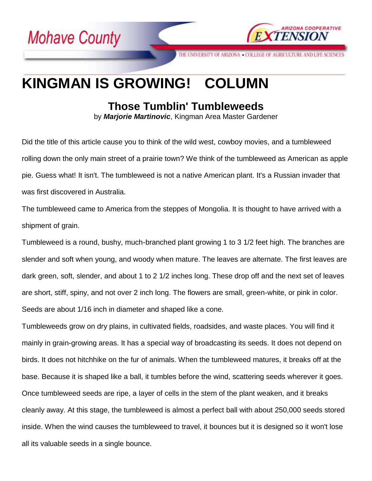



THE UNIVERSITY OF ARIZONA . COLLEGE OF AGRICULTURE AND LIFE SCIENCES

## **KINGMAN IS GROWING! COLUMN**

## **Those Tumblin' Tumbleweeds**

by *Marjorie Martinovic*, Kingman Area Master Gardener

Did the title of this article cause you to think of the wild west, cowboy movies, and a tumbleweed rolling down the only main street of a prairie town? We think of the tumbleweed as American as apple pie. Guess what! It isn't. The tumbleweed is not a native American plant. It's a Russian invader that was first discovered in Australia.

The tumbleweed came to America from the steppes of Mongolia. It is thought to have arrived with a shipment of grain.

Tumbleweed is a round, bushy, much-branched plant growing 1 to 3 1/2 feet high. The branches are slender and soft when young, and woody when mature. The leaves are alternate. The first leaves are dark green, soft, slender, and about 1 to 2 1/2 inches long. These drop off and the next set of leaves are short, stiff, spiny, and not over 2 inch long. The flowers are small, green-white, or pink in color. Seeds are about 1/16 inch in diameter and shaped like a cone.

Tumbleweeds grow on dry plains, in cultivated fields, roadsides, and waste places. You will find it mainly in grain-growing areas. It has a special way of broadcasting its seeds. It does not depend on birds. It does not hitchhike on the fur of animals. When the tumbleweed matures, it breaks off at the base. Because it is shaped like a ball, it tumbles before the wind, scattering seeds wherever it goes. Once tumbleweed seeds are ripe, a layer of cells in the stem of the plant weaken, and it breaks cleanly away. At this stage, the tumbleweed is almost a perfect ball with about 250,000 seeds stored inside. When the wind causes the tumbleweed to travel, it bounces but it is designed so it won't lose all its valuable seeds in a single bounce.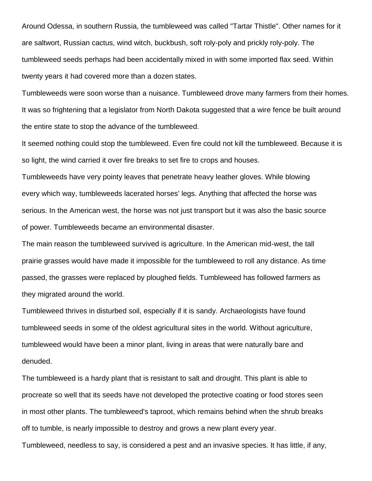Around Odessa, in southern Russia, the tumbleweed was called "Tartar Thistle". Other names for it are saltwort, Russian cactus, wind witch, buckbush, soft roly-poly and prickly roly-poly. The tumbleweed seeds perhaps had been accidentally mixed in with some imported flax seed. Within twenty years it had covered more than a dozen states.

Tumbleweeds were soon worse than a nuisance. Tumbleweed drove many farmers from their homes. It was so frightening that a legislator from North Dakota suggested that a wire fence be built around the entire state to stop the advance of the tumbleweed.

It seemed nothing could stop the tumbleweed. Even fire could not kill the tumbleweed. Because it is so light, the wind carried it over fire breaks to set fire to crops and houses.

Tumbleweeds have very pointy leaves that penetrate heavy leather gloves. While blowing every which way, tumbleweeds lacerated horses' legs. Anything that affected the horse was serious. In the American west, the horse was not just transport but it was also the basic source of power. Tumbleweeds became an environmental disaster.

The main reason the tumbleweed survived is agriculture. In the American mid-west, the tall prairie grasses would have made it impossible for the tumbleweed to roll any distance. As time passed, the grasses were replaced by ploughed fields. Tumbleweed has followed farmers as they migrated around the world.

Tumbleweed thrives in disturbed soil, especially if it is sandy. Archaeologists have found tumbleweed seeds in some of the oldest agricultural sites in the world. Without agriculture, tumbleweed would have been a minor plant, living in areas that were naturally bare and denuded.

The tumbleweed is a hardy plant that is resistant to salt and drought. This plant is able to procreate so well that its seeds have not developed the protective coating or food stores seen in most other plants. The tumbleweed's taproot, which remains behind when the shrub breaks off to tumble, is nearly impossible to destroy and grows a new plant every year.

Tumbleweed, needless to say, is considered a pest and an invasive species. It has little, if any,